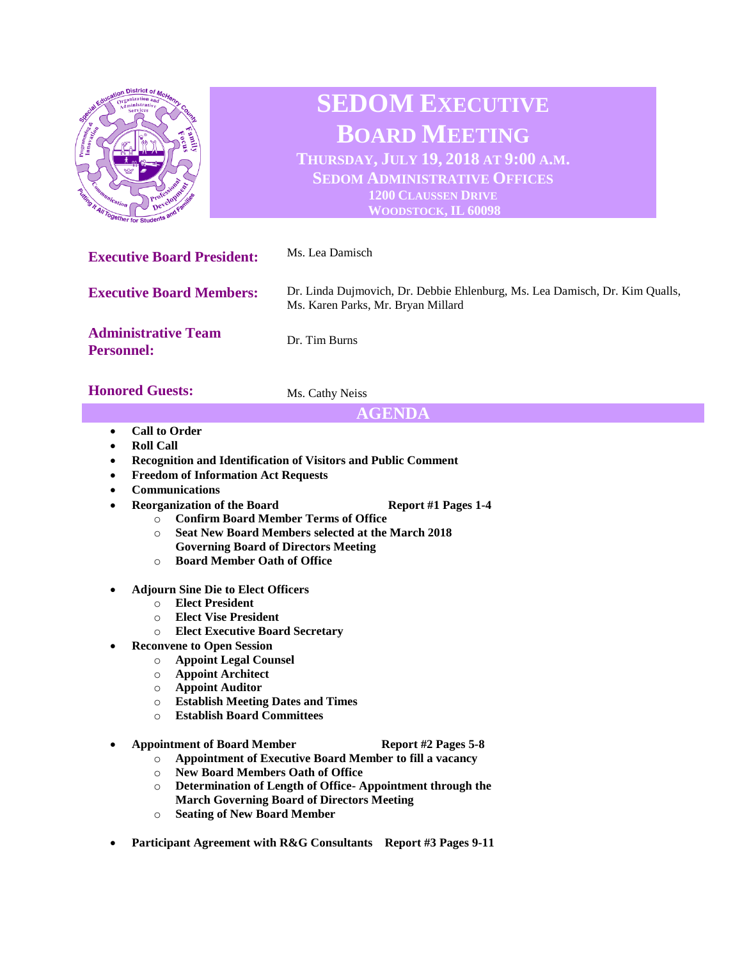| District of<br><b>Special</b><br>Programming Co.<br><b><i>immunication</i></b><br><b>Contraction Control Contract of AVI Together for Students and Y</b><br>. Familes | <b>SEDOM EXECUTIVE</b><br><b>BOARD MEETING</b><br>THURSDAY, JULY 19, 2018 AT 9:00 A.M.<br><b>SEDOM ADMINISTRATIVE OFFICES</b><br><b>1200 CLAUSSEN DRIVE</b><br>WOODSTOCK, IL 60098 |
|-----------------------------------------------------------------------------------------------------------------------------------------------------------------------|------------------------------------------------------------------------------------------------------------------------------------------------------------------------------------|
| <b>Executive Board President:</b>                                                                                                                                     | Ms. Lea Damisch                                                                                                                                                                    |
| <b>Executive Board Members:</b>                                                                                                                                       | Dr. Linda Dujmovich, Dr. Debbie Ehlenburg, Ms. Lea Damisch, Dr. Kim Qualls,<br>Ms. Karen Parks, Mr. Bryan Millard                                                                  |
| <b>Administrative Team</b><br><b>Personnel:</b>                                                                                                                       | Dr. Tim Burns                                                                                                                                                                      |
| <b>Honored Guests:</b>                                                                                                                                                | Ms. Cathy Neiss                                                                                                                                                                    |
| AGENDA                                                                                                                                                                |                                                                                                                                                                                    |

- **Call to Order**
- **Roll Call**
- **Recognition and Identification of Visitors and Public Comment**
- **Freedom of Information Act Requests**
- **Communications**
- **Reorganization of the Board Report #1 Pages 1-4** 
	- o **Confirm Board Member Terms of Office**
	- o **Seat New Board Members selected at the March 2018 Governing Board of Directors Meeting**
	- o **Board Member Oath of Office**
- **Adjourn Sine Die to Elect Officers**
	- o **Elect President**
	- o **Elect Vise President**
	- o **Elect Executive Board Secretary**
- **Reconvene to Open Session**
	- o **Appoint Legal Counsel**
	- o **Appoint Architect**
	- o **Appoint Auditor**
	- o **Establish Meeting Dates and Times**
	- o **Establish Board Committees**

• **Appointment of Board Member Report #2 Pages 5-8**

- 
- o **Appointment of Executive Board Member to fill a vacancy** o **New Board Members Oath of Office**
- o **Determination of Length of Office- Appointment through the March Governing Board of Directors Meeting**
- o **Seating of New Board Member**
- **Participant Agreement with R&G Consultants Report #3 Pages 9-11**